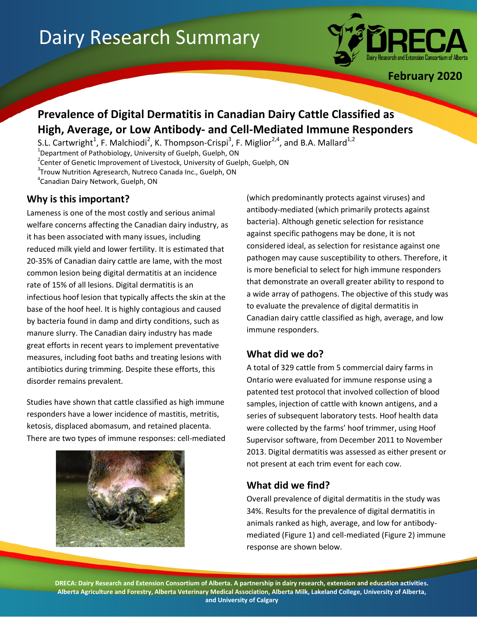# Dairy Research Summary



**February 2020**

# **Prevalence of Digital Dermatitis in Canadian Dairy Cattle Classified as High, Average, or Low Antibody- and Cell-Mediated Immune Responders**

S.L. Cartwright<sup>1</sup>, F. Malchiodi<sup>2</sup>, K. Thompson-Crispi<sup>3</sup>, F. Miglior<sup>2,4</sup>, and B.A. Mallard<sup>1,2</sup> <sup>1</sup>Department of Pathobiology, University of Guelph, Guelph, ON <sup>2</sup>Center of Genetic Improvement of Livestock, University of Guelph, Guelph, ON <sup>3</sup>Trouw Nutrition Agresearch, Nutreco Canada Inc., Guelph, ON 4 Canadian Dairy Network, Guelph, ON

## **Why is this important?**

Lameness is one of the most costly and serious animal welfare concerns affecting the Canadian dairy industry, as it has been associated with many issues, including reduced milk yield and lower fertility. It is estimated that 20-35% of Canadian dairy cattle are lame, with the most common lesion being digital dermatitis at an incidence rate of 15% of all lesions. Digital dermatitis is an infectious hoof lesion that typically affects the skin at the base of the hoof heel. It is highly contagious and caused by bacteria found in damp and dirty conditions, such as manure slurry. The Canadian dairy industry has made great efforts in recent years to implement preventative measures, including foot baths and treating lesions with antibiotics during trimming. Despite these efforts, this disorder remains prevalent.

Studies have shown that cattle classified as high immune responders have a lower incidence of mastitis, metritis, ketosis, displaced abomasum, and retained placenta. There are two types of immune responses: cell-mediated



(which predominantly protects against viruses) and antibody-mediated (which primarily protects against bacteria). Although genetic selection for resistance against specific pathogens may be done, it is not considered ideal, as selection for resistance against one pathogen may cause susceptibility to others. Therefore, it is more beneficial to select for high immune responders that demonstrate an overall greater ability to respond to a wide array of pathogens. The objective of this study was to evaluate the prevalence of digital dermatitis in Canadian dairy cattle classified as high, average, and low immune responders.

### **What did we do?**

A total of 329 cattle from 5 commercial dairy farms in Ontario were evaluated for immune response using a patented test protocol that involved collection of blood samples, injection of cattle with known antigens, and a series of subsequent laboratory tests. Hoof health data were collected by the farms' hoof trimmer, using Hoof Supervisor software, from December 2011 to November 2013. Digital dermatitis was assessed as either present or not present at each trim event for each cow.

### **What did we find?**

Overall prevalence of digital dermatitis in the study was 34%. Results for the prevalence of digital dermatitis in animals ranked as high, average, and low for antibodymediated (Figure 1) and cell-mediated (Figure 2) immune response are shown below.

**DRECA: Dairy Research and Extension Consortium of Alberta. A partnership in dairy research, extension and education activities. Alberta Agriculture and Forestry, Alberta Veterinary Medical Association, Alberta Milk, Lakeland College, University of Alberta, and University of Calgary**